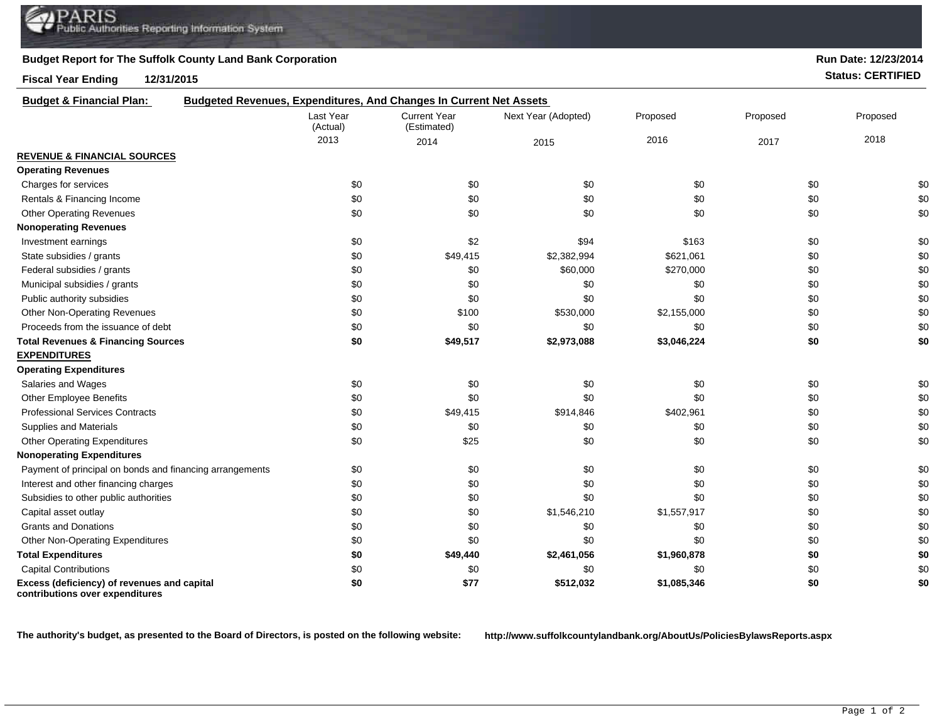## **Budget Report for The Suffolk County Land Bank Corporation**

**Fiscal Year Ending 12/31/2015 Status: CERTIFIED**

| <b>Budget &amp; Financial Plan:</b>                                            | Budgeted Revenues, Expenditures, And Changes In Current Net Assets |                                    |                     |             |          |          |
|--------------------------------------------------------------------------------|--------------------------------------------------------------------|------------------------------------|---------------------|-------------|----------|----------|
|                                                                                | Last Year<br>(Actual)                                              | <b>Current Year</b><br>(Estimated) | Next Year (Adopted) | Proposed    | Proposed | Proposed |
|                                                                                | 2013                                                               | 2014                               | 2015                | 2016        | 2017     | 2018     |
| <b>REVENUE &amp; FINANCIAL SOURCES</b>                                         |                                                                    |                                    |                     |             |          |          |
| <b>Operating Revenues</b>                                                      |                                                                    |                                    |                     |             |          |          |
| Charges for services                                                           | \$0                                                                | \$0                                | \$0                 | \$0         | \$0      | \$0      |
| Rentals & Financing Income                                                     | \$0                                                                | \$0                                | \$0                 | \$0         | \$0      | \$0      |
| <b>Other Operating Revenues</b>                                                | \$0                                                                | \$0                                | \$0                 | \$0         | \$0      | \$0      |
| <b>Nonoperating Revenues</b>                                                   |                                                                    |                                    |                     |             |          |          |
| Investment earnings                                                            | \$0                                                                | \$2                                | \$94                | \$163       | \$0      | \$0      |
| State subsidies / grants                                                       | \$0                                                                | \$49,415                           | \$2,382,994         | \$621,061   | \$0      | \$0      |
| Federal subsidies / grants                                                     | \$0                                                                | \$0                                | \$60,000            | \$270,000   | \$0      | \$0      |
| Municipal subsidies / grants                                                   | \$0                                                                | \$0                                | \$0                 | \$0         | \$0      | \$0      |
| Public authority subsidies                                                     | \$0                                                                | \$0                                | \$0                 | \$0         | \$0      | \$0      |
| <b>Other Non-Operating Revenues</b>                                            | \$0                                                                | \$100                              | \$530,000           | \$2,155,000 | \$0      | \$0      |
| Proceeds from the issuance of debt                                             | \$0                                                                | \$0                                | \$0                 | \$0         | \$0      | \$0      |
| <b>Total Revenues &amp; Financing Sources</b>                                  | \$0                                                                | \$49,517                           | \$2,973,088         | \$3,046,224 | \$0      | \$0      |
| <b>EXPENDITURES</b>                                                            |                                                                    |                                    |                     |             |          |          |
| <b>Operating Expenditures</b>                                                  |                                                                    |                                    |                     |             |          |          |
| Salaries and Wages                                                             | \$0                                                                | \$0                                | \$0                 | \$0         | \$0      | \$0      |
| Other Employee Benefits                                                        | \$0                                                                | \$0                                | \$0                 | \$0         | \$0      | \$0      |
| <b>Professional Services Contracts</b>                                         | \$0                                                                | \$49,415                           | \$914,846           | \$402,961   | \$0      | \$0      |
| Supplies and Materials                                                         | \$0                                                                | \$0                                | \$0                 | \$0         | \$0      | \$0      |
| <b>Other Operating Expenditures</b>                                            | \$0                                                                | \$25                               | \$0                 | \$0         | \$0      | \$0      |
| <b>Nonoperating Expenditures</b>                                               |                                                                    |                                    |                     |             |          |          |
| Payment of principal on bonds and financing arrangements                       | \$0                                                                | \$0                                | \$0                 | \$0         | \$0      | \$0      |
| Interest and other financing charges                                           | \$0                                                                | \$0                                | \$0                 | \$0         | \$0      | \$0      |
| Subsidies to other public authorities                                          | \$0                                                                | \$0                                | \$0                 | \$0         | \$0      | \$0      |
| Capital asset outlay                                                           | \$0                                                                | \$0                                | \$1,546,210         | \$1,557,917 | \$0      | \$0      |
| <b>Grants and Donations</b>                                                    | \$0                                                                | \$0                                | \$0                 | \$0         | \$0      | \$0      |
| Other Non-Operating Expenditures                                               | \$0                                                                | \$0                                | \$0                 | \$0         | \$0      | \$0      |
| <b>Total Expenditures</b>                                                      | \$0                                                                | \$49,440                           | \$2,461,056         | \$1,960,878 | \$0      | \$0      |
| <b>Capital Contributions</b>                                                   | \$0                                                                | \$0                                | \$0                 | \$0         | \$0      | \$0      |
| Excess (deficiency) of revenues and capital<br>contributions over expenditures | \$0                                                                | \$77                               | \$512,032           | \$1,085,346 | \$0      | \$0      |

**The authority's budget, as presented to the Board of Directors, is posted on the following website: http://www.suffolkcountylandbank.org/AboutUs/PoliciesBylawsReports.aspx**